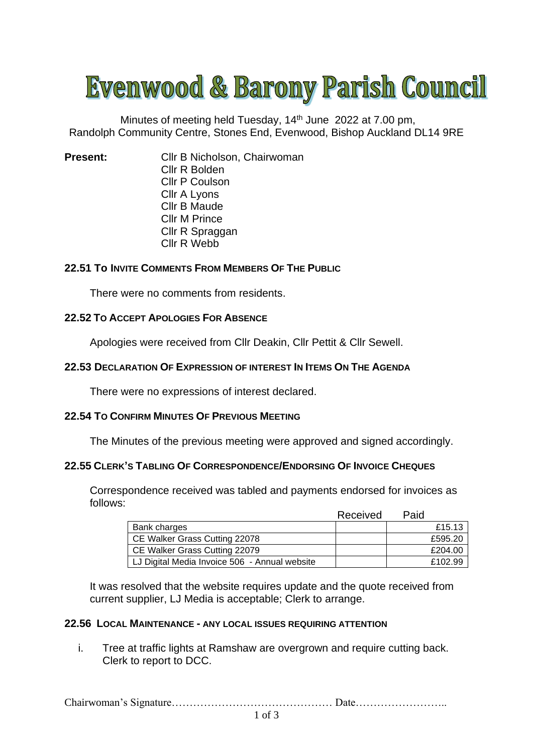# Evenwood & Barony Parish Council

Minutes of meeting held Tuesday, 14<sup>th</sup> June 2022 at 7.00 pm, Randolph Community Centre, Stones End, Evenwood, Bishop Auckland DL14 9RE

**Present:** Cllr B Nicholson, Chairwoman Cllr R Bolden Cllr P Coulson Cllr A Lyons Cllr B Maude Cllr M Prince Cllr R Spraggan Cllr R Webb

# **22.51 To INVITE COMMENTS FROM MEMBERS OF THE PUBLIC**

There were no comments from residents.

## **22.52 TO ACCEPT APOLOGIES FOR ABSENCE**

Apologies were received from Cllr Deakin, Cllr Pettit & Cllr Sewell.

#### **22.53 DECLARATION OF EXPRESSION OF INTEREST IN ITEMS ON THE AGENDA**

There were no expressions of interest declared.

# **22.54 TO CONFIRM MINUTES OF PREVIOUS MEETING**

The Minutes of the previous meeting were approved and signed accordingly.

#### **22.55 CLERK'S TABLING OF CORRESPONDENCE/ENDORSING OF INVOICE CHEQUES**

Correspondence received was tabled and payments endorsed for invoices as follows:

|                                               | Received | Paid    |
|-----------------------------------------------|----------|---------|
| Bank charges                                  |          | £15.13  |
| CE Walker Grass Cutting 22078                 |          | £595.20 |
| CE Walker Grass Cutting 22079                 |          | £204.00 |
| LJ Digital Media Invoice 506 - Annual website |          | £102.99 |

It was resolved that the website requires update and the quote received from current supplier, LJ Media is acceptable; Clerk to arrange.

### **22.56 LOCAL MAINTENANCE - ANY LOCAL ISSUES REQUIRING ATTENTION**

i. Tree at traffic lights at Ramshaw are overgrown and require cutting back. Clerk to report to DCC.

Chairwoman's Signature……………………………………… Date……………………..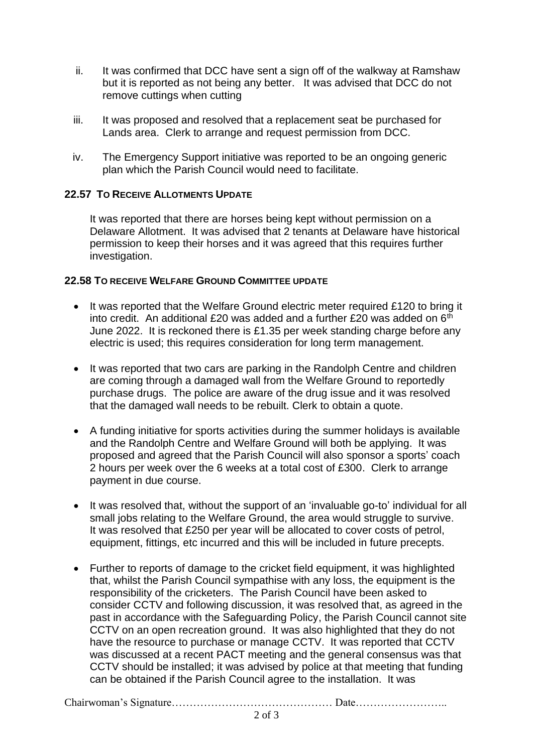- ii. It was confirmed that DCC have sent a sign off of the walkway at Ramshaw but it is reported as not being any better. It was advised that DCC do not remove cuttings when cutting
- iii. It was proposed and resolved that a replacement seat be purchased for Lands area. Clerk to arrange and request permission from DCC.
- iv. The Emergency Support initiative was reported to be an ongoing generic plan which the Parish Council would need to facilitate.

## **22.57 TO RECEIVE ALLOTMENTS UPDATE**

It was reported that there are horses being kept without permission on a Delaware Allotment. It was advised that 2 tenants at Delaware have historical permission to keep their horses and it was agreed that this requires further investigation.

### **22.58 TO RECEIVE WELFARE GROUND COMMITTEE UPDATE**

- It was reported that the Welfare Ground electric meter required £120 to bring it into credit. An additional £20 was added and a further £20 was added on  $6<sup>th</sup>$ June 2022. It is reckoned there is £1.35 per week standing charge before any electric is used; this requires consideration for long term management.
- It was reported that two cars are parking in the Randolph Centre and children are coming through a damaged wall from the Welfare Ground to reportedly purchase drugs. The police are aware of the drug issue and it was resolved that the damaged wall needs to be rebuilt. Clerk to obtain a quote.
- A funding initiative for sports activities during the summer holidays is available and the Randolph Centre and Welfare Ground will both be applying. It was proposed and agreed that the Parish Council will also sponsor a sports' coach 2 hours per week over the 6 weeks at a total cost of £300. Clerk to arrange payment in due course.
- It was resolved that, without the support of an 'invaluable go-to' individual for all small jobs relating to the Welfare Ground, the area would struggle to survive. It was resolved that £250 per year will be allocated to cover costs of petrol, equipment, fittings, etc incurred and this will be included in future precepts.
- Further to reports of damage to the cricket field equipment, it was highlighted that, whilst the Parish Council sympathise with any loss, the equipment is the responsibility of the cricketers. The Parish Council have been asked to consider CCTV and following discussion, it was resolved that, as agreed in the past in accordance with the Safeguarding Policy, the Parish Council cannot site CCTV on an open recreation ground. It was also highlighted that they do not have the resource to purchase or manage CCTV. It was reported that CCTV was discussed at a recent PACT meeting and the general consensus was that CCTV should be installed; it was advised by police at that meeting that funding can be obtained if the Parish Council agree to the installation. It was

Chairwoman's Signature……………………………………… Date……………………..